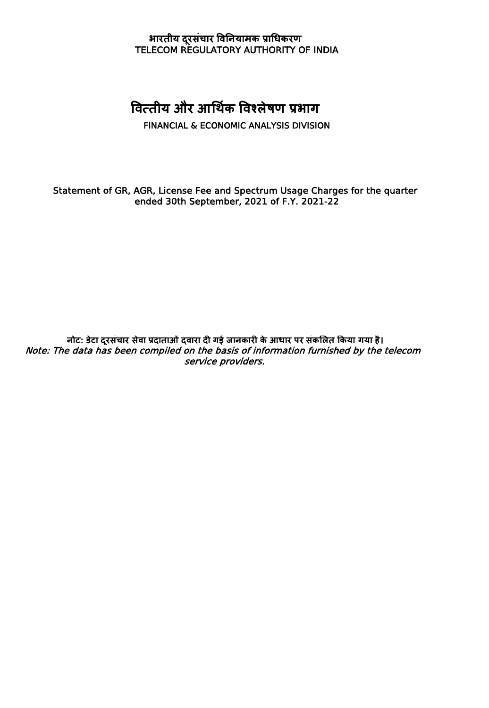## **भारतीय दरूसंचार विनियामक प्रार्िकरण** TELECOM REGULATORY AUTHORITY OF INDIA

## **वित्तीय और आर्थकि विश्लेषण प्रभाग**

FINANCIAL & ECONOMIC ANALYSIS DIVISION

Statement of GR, AGR, License Fee and Spectrum Usage Charges for the quarter ended 30th September, 2021 of F.Y. 2021-22

Note: The data has been compiled on the basis of information furnished by the telecom service providers. **िोट: डटे ा दरूसंचार सेिा प्रदाताओंद्िारा दी गई जािकारी के आिार पर संकललत ककया गया है।**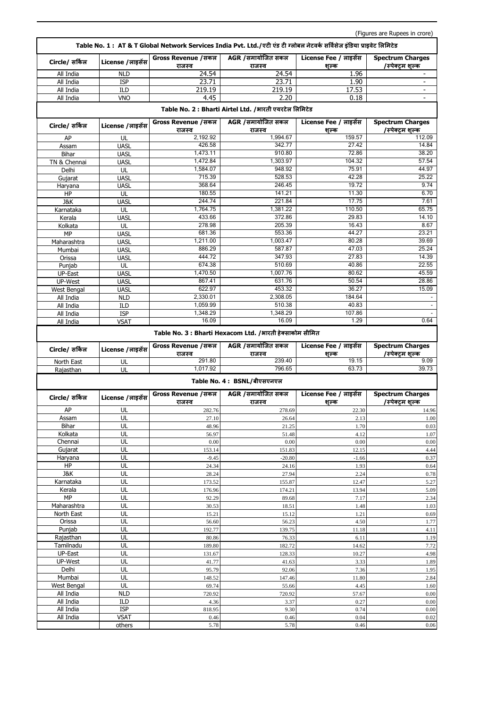|                        |                            |                               | Table No. 1 : AT & T Global Network Services India Pvt. Ltd./एटी एंड टी ग्लोबल नेटवर्क सर्विसेज इंडिया प्राइवेट लिमिटेड |                                |                                              |
|------------------------|----------------------------|-------------------------------|-------------------------------------------------------------------------------------------------------------------------|--------------------------------|----------------------------------------------|
| Circle/ सर्किल         | License / लाइसेंस          | Gross Revenue / सकल<br>राजस्व | AGR /समायोजित सकल<br>राजस्व                                                                                             | License Fee / लाइसेंस<br>शल्क  | <b>Spectrum Charges</b><br>/स्पेक्ट्रम शुल्क |
| All India              | <b>NLD</b>                 | 24.54                         | 24.54                                                                                                                   | 1.96                           |                                              |
| All India              | <b>ISP</b>                 | 23.71                         | 23.71                                                                                                                   | 1.90                           | $\overline{a}$                               |
| All India              | ILD                        | 219.19                        | 219.19                                                                                                                  | 17.53                          | $\sim$                                       |
| All India              | <b>VNO</b>                 | 4.45                          | 2.20<br>Table No. 2 : Bharti Airtel Ltd. /भारती एयरटेल लिमिटेड                                                          | 0.18                           | $\overline{\phantom{a}}$                     |
|                        |                            | Gross Revenue / सकल           | AGR /समायोजित सकल                                                                                                       | License Fee / लाइसेंस          | <b>Spectrum Charges</b>                      |
| Circle/ सर्किल         | License / लाइसेंस          | राजस्व                        | राजस्व                                                                                                                  | शल्क                           | /स्पेक्टम शल्क                               |
| AP                     | UL                         | 2,192.92                      | 1.994.67                                                                                                                | 159.57                         | 112.09<br>14.84                              |
| Assam                  | <b>UASL</b>                | 426.58<br>1,473.11            | 342.77<br>910.80                                                                                                        | 27.42<br>72.86                 | 38.20                                        |
| Bihar                  | <b>UASL</b><br><b>UASL</b> | 1,472.84                      | 1,303.97                                                                                                                | 104.32                         | 57.54                                        |
| TN & Chennai<br>Delhi  | UL                         | 1,584.07                      | 948.92                                                                                                                  | 75.91                          | 44.97                                        |
| Gujarat                | <b>UASL</b>                | 715.39                        | 528.53                                                                                                                  | 42.28                          | 25.22                                        |
| Haryana                | <b>UASL</b>                | 368.64                        | 246.45                                                                                                                  | 19.72                          | 9.74                                         |
| HP                     | UL                         | 180.55                        | 141.21                                                                                                                  | 11.30                          | 6.70                                         |
| J&K                    | <b>UASL</b>                | 244.74                        | 221.84                                                                                                                  | 17.75                          | 7.61                                         |
| Karnataka              | UL                         | 1,764.75                      | 1,381.22                                                                                                                | 110.50                         | 65.75                                        |
| Kerala                 | <b>UASL</b>                | 433.66                        | 372.86                                                                                                                  | 29.83                          | 14.10                                        |
| Kolkata                | UL                         | 278.98                        | 205.39                                                                                                                  | 16.43                          | 8.67                                         |
| MP                     | <b>UASL</b>                | 681.36                        | 553.36                                                                                                                  | 44.27                          | 23.21                                        |
| Maharashtra            | <b>UASL</b>                | 1,211.00                      | 1,003.47                                                                                                                | 80.28                          | 39.69                                        |
| Mumbai                 | <b>UASL</b>                | 886.29                        | 587.87                                                                                                                  | 47.03                          | 25.24                                        |
| Orissa                 | <b>UASL</b>                | 444.72                        | 347.93                                                                                                                  | 27.83                          | 14.39                                        |
| Punjab                 | UL                         | 674.38                        | 510.69                                                                                                                  | 40.86                          | 22.55                                        |
| UP-East                | <b>UASL</b>                | 1,470.50                      | 1,007.76                                                                                                                | 80.62                          | 45.59                                        |
| UP-West                | <b>UASL</b>                | 867.41                        | 631.76                                                                                                                  | 50.54                          | 28.86                                        |
| West Bengal            | <b>UASL</b>                | 622.97                        | 453.32                                                                                                                  | 36.27                          | 15.09                                        |
| All India              | <b>NLD</b>                 | 2,330.01                      | 2,308.05                                                                                                                | 184.64                         |                                              |
| All India              | ILD                        | 1,059.99                      | 510.38                                                                                                                  | 40.83                          | $\sim$                                       |
| All India              | <b>ISP</b>                 | 1,348.29                      | 1,348.29                                                                                                                | 107.86                         |                                              |
| All India              | <b>VSAT</b>                | 16.09                         | 16.09                                                                                                                   | 1.29                           | 0.64                                         |
|                        |                            | Gross Revenue / सकल           | Table No. 3 : Bharti Hexacom Ltd. /भारती हेक्साकोम सीमित<br>AGR /समायोजित सकल                                           | License Fee / लाइसेंस          | <b>Spectrum Charges</b>                      |
| Circle/ सर्किल         | License / लाइसेंस          |                               |                                                                                                                         |                                |                                              |
|                        |                            | राजस्व                        | राजस्व                                                                                                                  | शल्क                           | /स्पेक्ट्म शुल्क                             |
| North East             | UL                         | 291.80                        | 239.40                                                                                                                  | 19.15                          | 9.09                                         |
| Rajasthan              | UL                         | 1,017.92                      | 796.65                                                                                                                  | 63.73                          | 39.73                                        |
|                        |                            |                               | Table No. 4: BSNL/बीएसएनएल                                                                                              |                                |                                              |
| Circle/ सर्किल         | License / लाइसेंस          | Gross Revenue / सकल<br>राजस्व | AGR /समायोजित सकल<br>राजस्व                                                                                             | License Fee / लाइसेंस<br>शुल्क | <b>Spectrum Charges</b><br>/स्पेक्ट्म शुल्क  |
| AP                     | UL                         | 282.76                        | 278.69                                                                                                                  | 22.30                          | 14.96                                        |
| Assam                  | UL                         | 27.10                         | 26.64                                                                                                                   | 2.13                           | 1.00                                         |
| Bihar                  | UL                         | 48.96                         | 21.25                                                                                                                   | 1.70                           | 0.03                                         |
| Kolkata                | UL                         | 56.97                         | 51.48                                                                                                                   | 4.12                           | 1.07                                         |
| Chennai                | UL                         | 0.00                          | 0.00                                                                                                                    | 0.00                           | 0.00                                         |
| Gujarat                | UL                         | 153.14                        | 151.83                                                                                                                  | 12.15                          | 4.44                                         |
| Haryana                | UL                         | $-9.45$                       | $-20.80$                                                                                                                | $-1.66$                        | 0.37                                         |
| HP                     | UL                         | 24.34                         | 24.16                                                                                                                   | 1.93                           | 0.64                                         |
| J&K                    | UL                         | 28.24                         | 27.94                                                                                                                   | 2.24                           | 0.78                                         |
| Karnataka              | UL                         | 173.52                        | 155.87                                                                                                                  | 12.47                          | 5.27                                         |
| Kerala                 | UL                         | 176.96                        | 174.21                                                                                                                  | 13.94                          | 5.09                                         |
| MP                     | UL                         | 92.29                         | 89.68                                                                                                                   | 7.17                           | 2.34                                         |
| Maharashtra            | UL                         | 30.53                         | 18.51                                                                                                                   | 1.48                           | 1.03                                         |
| North East             | UL                         | 15.21                         | 15.12                                                                                                                   | 1.21                           | 0.69                                         |
| Orissa                 | UL                         | 56.60                         | 56.23                                                                                                                   | 4.50                           | 1.77                                         |
| Punjab                 | UL<br>UL                   | 192.77<br>80.86               | 139.75                                                                                                                  | 11.18                          | 4.11                                         |
| Rajasthan<br>Tamilnadu | UL                         | 189.80                        | 76.33<br>182.72                                                                                                         | 6.11<br>14.62                  | 1.19                                         |
| UP-East                | UL                         | 131.67                        | 128.33                                                                                                                  | 10.27                          | 7.72<br>4.98                                 |
| UP-West                | UL                         | 41.77                         | 41.63                                                                                                                   | 3.33                           | 1.89                                         |
| Delhi                  | UL                         | 95.79                         | 92.06                                                                                                                   | 7.36                           | 1.95                                         |
| Mumbai                 | UL                         | 148.52                        | 147.46                                                                                                                  | 11.80                          | 2.84                                         |
| West Bengal            | UL                         | 69.74                         | 55.66                                                                                                                   | 4.45                           | 1.60                                         |
| All India              | <b>NLD</b>                 | 720.92                        | 720.92                                                                                                                  | 57.67                          | $0.00\,$                                     |
| All India              | ILD                        | 4.36                          | 3.37                                                                                                                    | 0.27                           | $0.00\,$                                     |
| All India              | <b>ISP</b>                 | 818.95                        | 9.30                                                                                                                    | 0.74                           | $0.00\,$                                     |
| All India              | <b>VSAT</b><br>others      | 0.46<br>5.78                  | 0.46<br>5.78                                                                                                            | 0.04<br>0.46                   | 0.02<br>0.06                                 |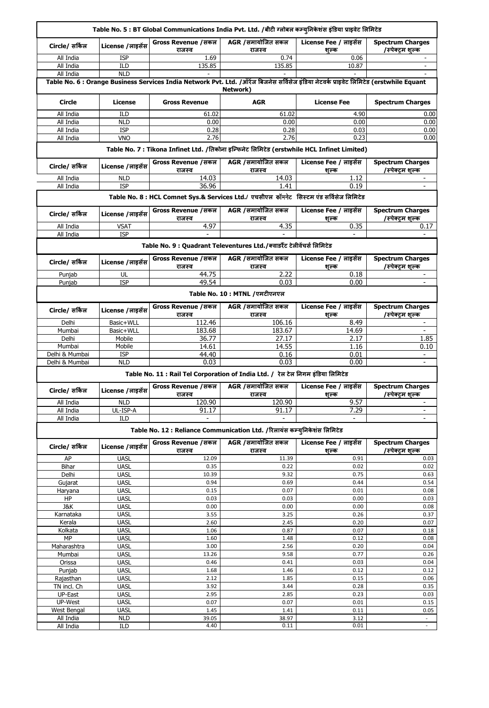|                        |                                                                                                                                                     |                                                  | Table No. 5 : BT Global Communications India Pvt. Ltd. /बीटी ग्लोबल कम्युनिकेशंस इंडिया प्राइवेट लिमिटेड |                                |                                              |  |  |  |
|------------------------|-----------------------------------------------------------------------------------------------------------------------------------------------------|--------------------------------------------------|----------------------------------------------------------------------------------------------------------|--------------------------------|----------------------------------------------|--|--|--|
| Circle/ सर्किल         | License / लाइसेंस                                                                                                                                   | Gross Revenue /सकल<br>राजस्व                     | AGR /समायोजित सकल<br>राजस्व                                                                              | License Fee / लाइसेस<br>शुल्क  | <b>Spectrum Charges</b><br>/स्पेक्ट्रम शुल्क |  |  |  |
| All India              | <b>ISP</b>                                                                                                                                          | 1.69                                             | 0.74                                                                                                     | 0.06                           |                                              |  |  |  |
| All India              | ILD                                                                                                                                                 | 135.85                                           | 135.85                                                                                                   | 10.87                          |                                              |  |  |  |
| All India              | <b>NLD</b>                                                                                                                                          |                                                  |                                                                                                          |                                |                                              |  |  |  |
|                        | Table No. 6 : Orange Business Services India Network Pvt. Ltd. /ऑरेंज बिजनेस सर्विसेज इंडिया नेटवर्क प्राइवेट लिमिटेड (erstwhile Equant<br>Network) |                                                  |                                                                                                          |                                |                                              |  |  |  |
| <b>Circle</b>          | License                                                                                                                                             | <b>Gross Revenue</b>                             | <b>AGR</b>                                                                                               | <b>License Fee</b>             | <b>Spectrum Charges</b>                      |  |  |  |
| All India              | ILD                                                                                                                                                 | 61.02                                            | 61.02                                                                                                    | 4.90                           | 0.00                                         |  |  |  |
| All India              | <b>NLD</b>                                                                                                                                          | 0.00                                             | 0.00                                                                                                     | 0.00                           | 0.00                                         |  |  |  |
| All India<br>All India | <b>ISP</b><br><b>VNO</b>                                                                                                                            | 0.28<br>2.76                                     | 0.28<br>2.76                                                                                             | 0.03<br>0.23                   | 0.00<br>0.00                                 |  |  |  |
|                        |                                                                                                                                                     |                                                  | Table No. 7 : Tikona Infinet Ltd. /तिकोना इन्फिनेट लिमिटेड (erstwhile HCL Infinet Limited)               |                                |                                              |  |  |  |
| Circle/ सर्किल         | License / लाइसेंस                                                                                                                                   | Gross Revenue / सकल<br>राजस्व                    | AGR / समायोजित सकल<br>राजस्व                                                                             | License Fee / लाइसेंस<br>शल्क  | <b>Spectrum Charges</b><br>/स्पेक्ट्म शल्क   |  |  |  |
| All India              | <b>NLD</b>                                                                                                                                          | 14.03                                            | 14.03                                                                                                    | 1.12                           |                                              |  |  |  |
| All India              | <b>ISP</b>                                                                                                                                          | 36.96                                            | 1.41                                                                                                     | 0.19                           | ×.                                           |  |  |  |
|                        |                                                                                                                                                     |                                                  | Table No. 8 : HCL Comnet Sys.& Services Ltd./ एचसीएल कॉमनेट सिस्टम एंड सर्विसेज लिमिटेड                  |                                |                                              |  |  |  |
| Circle/ सर्किल         | License / लाइसेंस                                                                                                                                   | Gross Revenue /सकल<br>राजस्व                     | AGR /समायोजित सकल<br>राजस्व                                                                              | License Fee / लाइसेंस<br>शल्क  | <b>Spectrum Charges</b><br>/स्पेक्ट्रम शुल्क |  |  |  |
| All India              | <b>VSAT</b>                                                                                                                                         | 4.97                                             | 4.35                                                                                                     | 0.35                           | 0.17                                         |  |  |  |
| All India              | <b>ISP</b>                                                                                                                                          |                                                  |                                                                                                          |                                |                                              |  |  |  |
|                        |                                                                                                                                                     |                                                  | Table No. 9 : Quadrant Televentures Ltd./क्वार्डरैंट टेलीवेंचर्स लिमिटेड                                 |                                |                                              |  |  |  |
| Circle/ सर्किल         | License / लाइसेंस                                                                                                                                   | Gross Revenue / सकल<br>राजस्व                    | AGR /समायोजित सकल<br>राजस्व                                                                              | License Fee / लाइसेंस<br>शल्क  | <b>Spectrum Charges</b><br>/स्पेक्ट्म शुल्क  |  |  |  |
| Punjab                 | UL                                                                                                                                                  | 44.75                                            | 2.22                                                                                                     | 0.18                           |                                              |  |  |  |
| Punjab                 | <b>ISP</b>                                                                                                                                          | 49.54                                            | 0.03                                                                                                     | 0.00                           |                                              |  |  |  |
|                        |                                                                                                                                                     |                                                  | Table No. 10 : MTNL /एमटीएनएल                                                                            |                                |                                              |  |  |  |
| Circle/ सर्किल         | License / लाइसेंस                                                                                                                                   | Gross Revenue / सकल<br>राजस्व                    | AGR /समायोजित सकल<br>राजस्व                                                                              | License Fee / लाइसेंस<br>शल्क  | <b>Spectrum Charges</b><br>/स्पेक्ट्म शल्क   |  |  |  |
| Delhi                  | Basic+WLL                                                                                                                                           | 112.46                                           | 106.16                                                                                                   | 8.49                           | $\sim$                                       |  |  |  |
| Mumbai                 | Basic+WLL                                                                                                                                           | 183.68                                           | 183.67                                                                                                   | 14.69                          | $\sim$                                       |  |  |  |
| Delhi<br>Mumbai        | Mobile<br>Mobile                                                                                                                                    | 36.77<br>14.61                                   | 27.17<br>14.55                                                                                           | 2.17<br>1.16                   | 1.85<br>0.10                                 |  |  |  |
| Delhi & Mumbai         | <b>ISP</b>                                                                                                                                          | 44.40                                            | 0.16                                                                                                     | 0.01                           |                                              |  |  |  |
| Delhi & Mumbai         | <b>NLD</b>                                                                                                                                          | 0.03                                             | 0.03                                                                                                     | 0.00                           | $\blacksquare$                               |  |  |  |
|                        |                                                                                                                                                     |                                                  | Table No. 11 : Rail Tel Corporation of India Ltd. / रेल टेल निगम इंडिया लिमिटेड                          |                                |                                              |  |  |  |
| Circle/ सर्किल         | License / लाइसेंस                                                                                                                                   | Gross Revenue / सकल<br>राजस्व                    | AGR /समायोजित सकल<br>राजस्व                                                                              | License Fee / लाइसेंस<br>शुल्क | <b>Spectrum Charges</b><br>/स्पेक्ट्म शुल्क  |  |  |  |
| All India              | <b>NLD</b>                                                                                                                                          | 120.90                                           | 120.90                                                                                                   | 9.57                           | $\sim$                                       |  |  |  |
| All India              | UL-ISP-A                                                                                                                                            | 91.17                                            | 91.17                                                                                                    | 7.29                           | ÷.                                           |  |  |  |
| All India              | ILD                                                                                                                                                 |                                                  |                                                                                                          |                                | $\overline{\phantom{a}}$                     |  |  |  |
|                        |                                                                                                                                                     |                                                  | Table No. 12 : Reliance Communication Ltd. /रिलायंस कम्युनिकेशंस लिमिटेड                                 |                                |                                              |  |  |  |
| Circle/ सर्किल         | License / लाइसेंस                                                                                                                                   | Gross Revenue /सकल   AGR /समायोजित सकल<br>राजस्व | राजस्व                                                                                                   | License Fee / लाइसेंस<br>शुल्क | <b>Spectrum Charges</b><br>/स्पेक्ट्म शुल्क  |  |  |  |
| AP                     | <b>UASL</b>                                                                                                                                         | 12.09                                            | 11.39                                                                                                    | 0.91                           | 0.03                                         |  |  |  |
| Bihar                  | <b>UASL</b>                                                                                                                                         | 0.35                                             | 0.22                                                                                                     | 0.02                           | 0.02                                         |  |  |  |
| Delhi<br>Gujarat       | <b>UASL</b><br><b>UASL</b>                                                                                                                          | 10.39<br>0.94                                    | 9.32<br>0.69                                                                                             | 0.75<br>0.44                   | 0.63<br>0.54                                 |  |  |  |
| Haryana                | <b>UASL</b>                                                                                                                                         | 0.15                                             | 0.07                                                                                                     | 0.01                           | 0.08                                         |  |  |  |
| HP                     | <b>UASL</b>                                                                                                                                         | 0.03                                             | 0.03                                                                                                     | 0.00                           | 0.03                                         |  |  |  |
| J&K                    | <b>UASL</b>                                                                                                                                         | 0.00                                             | 0.00                                                                                                     | $0.00\,$                       | 0.08                                         |  |  |  |
| Karnataka              | <b>UASL</b>                                                                                                                                         | 3.55                                             | 3.25                                                                                                     | 0.26                           | 0.37                                         |  |  |  |
| Kerala                 | <b>UASL</b>                                                                                                                                         | 2.60                                             | 2.45                                                                                                     | 0.20                           | 0.07                                         |  |  |  |
| Kolkata                | <b>UASL</b>                                                                                                                                         | 1.06                                             | 0.87                                                                                                     | 0.07                           | 0.18                                         |  |  |  |
| MP                     | <b>UASL</b>                                                                                                                                         | 1.60                                             | 1.48                                                                                                     | 0.12                           | 0.08                                         |  |  |  |
| Maharashtra            | <b>UASL</b>                                                                                                                                         | 3.00                                             | 2.56                                                                                                     | 0.20                           | 0.04                                         |  |  |  |
| Mumbai<br>Orissa       | <b>UASL</b><br><b>UASL</b>                                                                                                                          | 13.26<br>0.46                                    | 9.58<br>0.41                                                                                             | 0.77<br>0.03                   | 0.26<br>0.04                                 |  |  |  |
| Punjab                 | <b>UASL</b>                                                                                                                                         | 1.68                                             | 1.46                                                                                                     | 0.12                           | 0.12                                         |  |  |  |
| Rajasthan              | <b>UASL</b>                                                                                                                                         | 2.12                                             | 1.85                                                                                                     | 0.15                           | 0.06                                         |  |  |  |
| TN incl. Ch            | <b>UASL</b>                                                                                                                                         | 3.92                                             | 3.44                                                                                                     | 0.28                           | 0.35                                         |  |  |  |
| UP-East                | <b>UASL</b>                                                                                                                                         | 2.95                                             | 2.85                                                                                                     | 0.23                           | 0.03                                         |  |  |  |
| UP-West                | <b>UASL</b>                                                                                                                                         | 0.07                                             | 0.07                                                                                                     | 0.01                           | 0.15                                         |  |  |  |
| West Bengal            | <b>UASL</b>                                                                                                                                         | 1.45                                             | 1.41                                                                                                     | 0.11                           | 0.05                                         |  |  |  |
| All India<br>All India | <b>NLD</b>                                                                                                                                          | 39.05<br>4.40                                    | 38.97                                                                                                    | 3.12<br>0.01                   | $\sim$<br>$\omega_{\rm c}$                   |  |  |  |
|                        | ILD                                                                                                                                                 |                                                  | 0.11                                                                                                     |                                |                                              |  |  |  |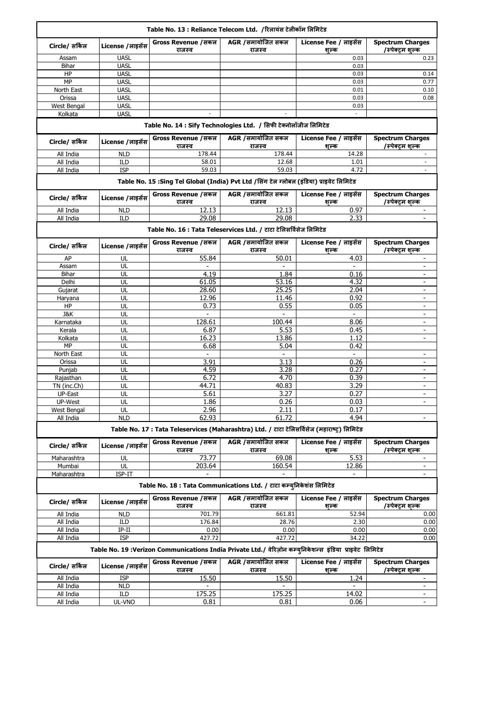|                          |                            |                               | Table No. 13 : Reliance Telecom Ltd. /रिलायंस टेलीकॉम लिमिटेड                                                                 |                                |                                             |
|--------------------------|----------------------------|-------------------------------|-------------------------------------------------------------------------------------------------------------------------------|--------------------------------|---------------------------------------------|
| Circle/ सर्किल           | License / लाइसेंस          | Gross Revenue /सकल<br>राजस्व  | AGR /समायोजित सकल<br>राजस्व                                                                                                   | License Fee / लाइसेंस<br>शुल्क | <b>Spectrum Charges</b><br>/स्पेक्ट्म शुल्क |
| Assam                    | <b>UASL</b>                |                               |                                                                                                                               | 0.03                           | 0.23                                        |
| Bihar                    | <b>UASL</b>                |                               |                                                                                                                               | 0.03                           |                                             |
| HP                       | <b>UASL</b>                |                               |                                                                                                                               | 0.03                           | 0.14                                        |
| MP                       | <b>UASL</b>                |                               |                                                                                                                               | 0.03                           | 0.77                                        |
| North East               | <b>UASL</b><br><b>UASL</b> |                               |                                                                                                                               | 0.01                           | 0.10                                        |
| Orissa<br>West Bengal    | <b>UASL</b>                |                               |                                                                                                                               | 0.03<br>0.03                   | 0.08                                        |
| Kolkata                  | <b>UASL</b>                |                               |                                                                                                                               |                                |                                             |
|                          |                            |                               | Table No. 14 : Sify Technologies Ltd. / सिफी टेक्नोलॉजीज लिमिटेड                                                              |                                |                                             |
| Circle/ सर्किल           | License / लाइसेंस          | Gross Revenue /सकल<br>राजस्व  | AGR /समायोजित सकल<br>राजस्व                                                                                                   | License Fee / लाइसेंस<br>शल्क  | <b>Spectrum Charges</b><br>/स्पेक्टम शल्क   |
| All India                | <b>NLD</b>                 | 178.44                        | 178.44                                                                                                                        | 14.28                          |                                             |
| All India                | ILD                        | 58.01                         | 12.68                                                                                                                         | 1.01                           | $\sim$                                      |
| All India                | <b>ISP</b>                 | 59.03                         | 59.03                                                                                                                         | 4.72                           |                                             |
|                          |                            |                               | Table No. 15 :Sing Tel Global (India) Pvt Ltd /सिंग टेल ग्लोबल (इंडिया) प्राइवेट लिमिटेड                                      |                                |                                             |
| Circle/ सर्किल           | License / लाइसेंस          | Gross Revenue / सकल<br>राजस्व | AGR /समायोजित सकल<br>राजस्व                                                                                                   | License Fee / लाइसेंस<br>शल्क  | <b>Spectrum Charges</b><br>/स्पेक्ट्म शुल्क |
| All India                | <b>NLD</b>                 | 12.13                         | 12.13                                                                                                                         | 0.97                           |                                             |
| All India                | ILD                        | 29.08                         | 29.08                                                                                                                         | 2.33                           | $\overline{\phantom{a}}$                    |
|                          |                            |                               | Table No. 16 : Tata Teleservices Ltd. / टाटा टेलिसर्विसेज लिमिटेड                                                             |                                |                                             |
| Circle/ सर्किल           | License / लाइसेंस          | Gross Revenue /सकल<br>राजस्व  | AGR /समायोजित सकल<br>राजस्व                                                                                                   | License Fee / लाइसेंस<br>शुल्क | <b>Spectrum Charges</b><br>/स्पेक्ट्म शुल्क |
| AP                       | UL                         | 55.84                         | 50.01                                                                                                                         | 4.03                           | $\overline{\phantom{a}}$                    |
| Assam                    | UL                         |                               |                                                                                                                               | $\sim$                         | $\overline{\phantom{a}}$                    |
| Bihar                    | UL                         | 4.19                          | 1.84                                                                                                                          | 0.16                           | $\overline{\phantom{a}}$                    |
| Delhi                    | UL                         | 61.05                         | 53.16                                                                                                                         | 4.32                           | $\overline{a}$                              |
| Gujarat<br>Haryana       | UL<br>UL                   | 28.60<br>12.96                | 25.25<br>11.46                                                                                                                | 2.04<br>0.92                   | ÷.                                          |
| HP                       | UL                         | 0.73                          | 0.55                                                                                                                          | 0.05                           |                                             |
| J&K                      | UL                         | $\sim$                        | $\sim$                                                                                                                        | $\blacksquare$                 | $\overline{\phantom{a}}$                    |
| Karnataka                | UL                         | 128.61                        | 100.44                                                                                                                        | 8.06                           | ٠                                           |
| Kerala                   | UL                         | 6.87                          | 5.53                                                                                                                          | 0.45                           | $\overline{\phantom{a}}$                    |
| Kolkata                  | UL                         | 16.23                         | 13.86                                                                                                                         | 1.12                           | ÷.                                          |
| MP                       | UL                         | 6.68                          | 5.04                                                                                                                          | 0.42                           |                                             |
| North East               | UL                         | $\overline{\phantom{a}}$      | $\sim$                                                                                                                        | $\sim$                         |                                             |
| Orissa                   | UL                         | 3.91                          | 3.13                                                                                                                          | 0.26                           | $\overline{\phantom{a}}$                    |
| Punjab                   | UL                         | 4.59                          | 3.28<br>4.70                                                                                                                  | 0.27                           | $\sim$                                      |
| Rajasthan<br>TN (inc.Ch) | UL<br>UL                   | 6.72<br>44.71                 | 40.83                                                                                                                         | 0.39<br>3.29                   | $\sim$                                      |
| UP-East                  | UL                         | 5.61                          | 3.27                                                                                                                          | 0.27                           | ÷.                                          |
| UP-West                  | UL                         | 1.86                          | 0.26                                                                                                                          | 0.03                           | $\overline{\phantom{a}}$                    |
| West Bengal              | UL                         | 2.96                          | 2.11                                                                                                                          | 0.17                           |                                             |
| All India                | <b>NLD</b>                 | 62.93                         | 61.72                                                                                                                         | 4.94                           | $\overline{\phantom{a}}$                    |
|                          |                            |                               | Table No. 17 : Tata Teleservices (Maharashtra) Ltd. / टाटा टेलिसर्विसेज (महाराष्ट्) लिमिटेड                                   |                                |                                             |
| Circle/ सर्किल           | License / लाइसेंस          | Gross Revenue / सकल<br>राजस्व | AGR /समायोजित सकल<br>राजस्व                                                                                                   | License Fee / लाइसेंस<br>शुल्क | <b>Spectrum Charges</b><br>/स्पेक्ट्म शुल्क |
| Maharashtra              | UL                         | 73.77                         | 69.08                                                                                                                         | 5.53                           |                                             |
| Mumbai                   | UL                         | 203.64                        | 160.54                                                                                                                        | 12.86                          | $\sim$                                      |
| Maharashtra              | ISP-IT                     |                               |                                                                                                                               |                                | $\overline{\phantom{a}}$                    |
|                          |                            | Gross Revenue / सकल           | Table No. 18 : Tata Communications Ltd. / टाटा कम्यूनिकेशंस लिमिटेड<br>AGR /समायोजित सकल                                      | License Fee / लाइसेंस          | <b>Spectrum Charges</b>                     |
| Circle/ सर्किल           | License / लाइसेंस          | राजस्व                        | राजस्व                                                                                                                        | शल्क                           | /स्पेक्ट्म शल्क                             |
| All India                | <b>NLD</b>                 | 701.79                        | 661.81                                                                                                                        | 52.94                          | 0.00                                        |
| All India                | ILD                        | 176.84                        | 28.76                                                                                                                         | 2.30                           | 0.00                                        |
| All India                | $IP-II$                    | 0.00                          | 0.00                                                                                                                          | 0.00                           | 0.00                                        |
| All India                | <b>ISP</b>                 | 427.72                        | 427.72                                                                                                                        | 34.22                          | 0.00                                        |
| Circle/ सर्किल           | License / लाइसेंस          | Gross Revenue / सकल           | Table No. 19 :Verizon Communications India Private Ltd./ वेरिज़ोन कम्युनिकेशन्स इंडिया प्राइवेट लिमिटेड<br>AGR / समायोजित सकल | License Fee / लाइसेंस          | <b>Spectrum Charges</b>                     |
|                          |                            | राजस्व                        | राजस्व                                                                                                                        | शल्क                           | /स्पेक्टम शल्क                              |
| All India                | <b>ISP</b>                 | 15.50                         | 15.50                                                                                                                         | 1.24                           | $\sim$                                      |
| All India<br>All India   | <b>NLD</b><br>ILD          | 175.25                        | 175.25                                                                                                                        | 14.02                          | $\overline{\phantom{a}}$<br>٠               |
| All India                | UL-VNO                     | 0.81                          | 0.81                                                                                                                          | 0.06                           |                                             |
|                          |                            |                               |                                                                                                                               |                                |                                             |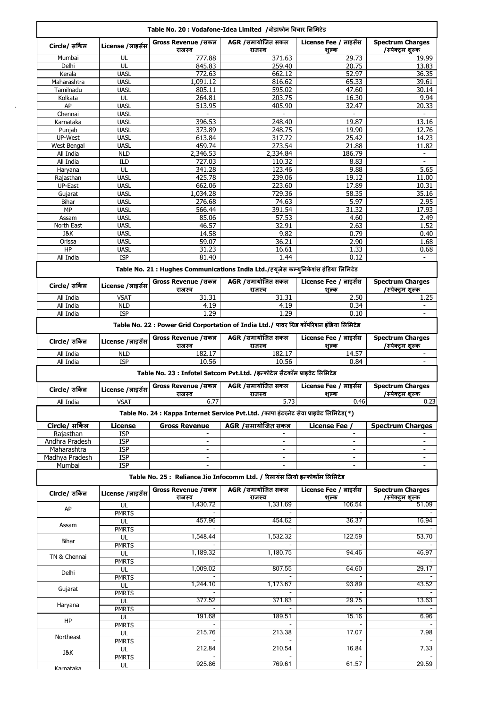|                                 |                           | Table No. 20 : Vodafone-Idea Limited /वोडाफोन विचार लिमिटेड |                                                                                            |                                                      |                                                                                                                                                                                                         |
|---------------------------------|---------------------------|-------------------------------------------------------------|--------------------------------------------------------------------------------------------|------------------------------------------------------|---------------------------------------------------------------------------------------------------------------------------------------------------------------------------------------------------------|
| Circle/ सर्किल                  | License / लाइसेंस         | Gross Revenue / सकल<br>राजस्व                               | AGR /समायोजित सकल<br>राजस्व                                                                | License Fee / लाइसेंस<br>शुल्क                       | <b>Spectrum Charges</b><br>/स्पेक्ट्म शुल्क                                                                                                                                                             |
| Mumbai                          | UL                        | 777.88                                                      | 371.63                                                                                     | 29.73                                                |                                                                                                                                                                                                         |
| Delhi                           | UL                        | 845.83                                                      | 259.40                                                                                     | 20.75                                                |                                                                                                                                                                                                         |
| Kerala                          | <b>UASL</b>               | 772.63                                                      | 662.12                                                                                     | 52.97                                                |                                                                                                                                                                                                         |
| Maharashtra                     | <b>UASL</b>               | 1,091.12                                                    | 816.62                                                                                     | 65.33                                                |                                                                                                                                                                                                         |
| Tamilnadu                       | <b>UASL</b>               | 805.11                                                      | 595.02                                                                                     | 47.60                                                |                                                                                                                                                                                                         |
| Kolkata                         | UL                        | 264.81                                                      | 203.75                                                                                     | 16.30                                                |                                                                                                                                                                                                         |
| AP                              | <b>UASL</b>               | 513.95                                                      | 405.90                                                                                     | 32.47                                                |                                                                                                                                                                                                         |
| Chennai                         | <b>UASL</b>               |                                                             |                                                                                            |                                                      |                                                                                                                                                                                                         |
| Karnataka                       | <b>UASL</b>               | 396.53                                                      | 248.40                                                                                     | 19.87                                                |                                                                                                                                                                                                         |
| Punjab                          | <b>UASL</b>               | 373.89                                                      | 248.75                                                                                     | 19.90                                                |                                                                                                                                                                                                         |
| UP-West                         | <b>UASL</b>               | 613.84<br>459.74                                            | 317.72<br>273.54                                                                           | 25.42<br>21.88                                       |                                                                                                                                                                                                         |
| <b>West Bengal</b><br>All India | <b>UASL</b><br><b>NLD</b> | 2,346.53                                                    | 2,334.84                                                                                   | 186.79                                               |                                                                                                                                                                                                         |
| All India                       | ILD                       | 727.03                                                      | 110.32                                                                                     | 8.83                                                 |                                                                                                                                                                                                         |
| Haryana                         | UL                        | 341.28                                                      | 123.46                                                                                     | 9.88                                                 |                                                                                                                                                                                                         |
| Rajasthan                       | <b>UASL</b>               | 425.78                                                      | 239.06                                                                                     | 19.12                                                |                                                                                                                                                                                                         |
| UP-East                         | <b>UASL</b>               | 662.06                                                      | 223.60                                                                                     | 17.89                                                |                                                                                                                                                                                                         |
| Gujarat                         | <b>UASL</b>               | 1,034.28                                                    | 729.36                                                                                     | 58.35                                                |                                                                                                                                                                                                         |
| Bihar                           | <b>UASL</b>               | 276.68                                                      | 74.63                                                                                      | 5.97                                                 |                                                                                                                                                                                                         |
| MP                              | <b>UASL</b>               | 566.44                                                      | 391.54                                                                                     | 31.32                                                |                                                                                                                                                                                                         |
| Assam                           | <b>UASL</b>               | 85.06                                                       | 57.53                                                                                      | 4.60                                                 |                                                                                                                                                                                                         |
| North East                      | <b>UASL</b>               | 46.57                                                       | 32.91                                                                                      | 2.63                                                 |                                                                                                                                                                                                         |
| J&K                             | <b>UASL</b>               | 14.58                                                       | 9.82                                                                                       | 0.79                                                 |                                                                                                                                                                                                         |
| Orissa                          | <b>UASL</b>               | 59.07                                                       | 36.21                                                                                      | 2.90                                                 |                                                                                                                                                                                                         |
| HP                              | <b>UASL</b>               | 31.23                                                       | 16.61                                                                                      | 1.33                                                 |                                                                                                                                                                                                         |
| All India                       | <b>ISP</b>                | 81.40                                                       | 1.44                                                                                       | 0.12                                                 |                                                                                                                                                                                                         |
|                                 |                           |                                                             | Table No. 21 : Hughes Communications India Ltd./ह्यूजेस कम्युनिकेशंस इंडिया लिमिटेड        |                                                      |                                                                                                                                                                                                         |
|                                 |                           | Gross Revenue / सकल                                         | AGR /समायोजित सकल                                                                          | License Fee / लाइसेंस                                | <b>Spectrum Charges</b>                                                                                                                                                                                 |
| Circle/ सर्किल                  | License / लाइसेंस         | राजस्व                                                      | राजस्व                                                                                     | शल्क                                                 | /स्पेक्ट्म शल्क                                                                                                                                                                                         |
| All India                       | <b>VSAT</b>               | 31.31                                                       | 31.31                                                                                      | 2.50                                                 |                                                                                                                                                                                                         |
| All India                       | <b>NLD</b>                | 4.19                                                        | 4.19                                                                                       | 0.34                                                 |                                                                                                                                                                                                         |
| All India                       | <b>ISP</b>                | 1.29                                                        | 1.29                                                                                       | 0.10                                                 |                                                                                                                                                                                                         |
|                                 |                           |                                                             | Table No. 22 : Power Grid Corportation of India Ltd./ पावर ग्रिड कॉर्पोरेशन इंडिया लिमिटेड |                                                      |                                                                                                                                                                                                         |
| Circle/ सर्किल                  | License / लाइसेंस         | Gross Revenue / सकल                                         | AGR /समायोजित सकल                                                                          | License Fee / लाइसेंस                                | <b>Spectrum Charges</b>                                                                                                                                                                                 |
|                                 |                           |                                                             |                                                                                            |                                                      |                                                                                                                                                                                                         |
|                                 |                           | राजस्व                                                      | राजस्व                                                                                     | शुल्क                                                |                                                                                                                                                                                                         |
| All India                       | <b>NLD</b>                | 182.17                                                      | 182.17                                                                                     | 14.57                                                |                                                                                                                                                                                                         |
| All India                       | <b>ISP</b>                | 10.56                                                       | 10.56                                                                                      | 0.84                                                 |                                                                                                                                                                                                         |
|                                 |                           |                                                             | Table No. 23 : Infotel Satcom Pvt.Ltd. /इन्फोटेल सैटकॉम प्राइवेट लिमिटेड                   |                                                      |                                                                                                                                                                                                         |
|                                 |                           |                                                             |                                                                                            |                                                      |                                                                                                                                                                                                         |
| Circle/ सर्किल                  | License / लाइसेंस         | Gross Revenue / सकल                                         | AGR /समायोजित सकल                                                                          | License Fee / लाइसेंस                                |                                                                                                                                                                                                         |
| All India                       | <b>VSAT</b>               | राजस्व<br>6.77                                              | राजस्व<br>5.73                                                                             | शुल्क<br>0.46                                        |                                                                                                                                                                                                         |
|                                 |                           |                                                             | Table No. 24 : Kappa Internet Service Pvt.Ltd. /कापा इंटरनेट सेवा प्राइवेट लिमिटेड(*)      |                                                      |                                                                                                                                                                                                         |
|                                 |                           |                                                             |                                                                                            |                                                      |                                                                                                                                                                                                         |
| Circle/ सर्किल                  | <b>License</b>            | <b>Gross Revenue</b>                                        | AGR /समायोजित सकल                                                                          | <b>License Fee /</b>                                 |                                                                                                                                                                                                         |
| Rajasthan                       | <b>ISP</b>                |                                                             |                                                                                            |                                                      |                                                                                                                                                                                                         |
| Andhra Pradesh                  | ISP                       |                                                             |                                                                                            |                                                      |                                                                                                                                                                                                         |
| Maharashtra                     | <b>ISP</b>                | $\overline{\phantom{a}}$                                    |                                                                                            | $\overline{\phantom{a}}$<br>$\overline{\phantom{a}}$ |                                                                                                                                                                                                         |
| Madhya Pradesh                  | <b>ISP</b>                | $\overline{\phantom{a}}$                                    | $\overline{\phantom{a}}$                                                                   | $\overline{\phantom{a}}$                             |                                                                                                                                                                                                         |
| Mumbai                          | <b>ISP</b>                |                                                             |                                                                                            |                                                      |                                                                                                                                                                                                         |
|                                 |                           |                                                             | Table No. 25 : Reliance Jio Infocomm Ltd. / रिलायंस जियो इन्फोकॉम लिमिटेड                  |                                                      |                                                                                                                                                                                                         |
| Circle/ सर्किल                  | License / लाइसेंस         | Gross Revenue / सकल                                         | AGR /समायोजित सकल                                                                          | License Fee / लाइसेंस                                |                                                                                                                                                                                                         |
|                                 |                           | राजस्व                                                      | राजस्व                                                                                     | शल्क                                                 |                                                                                                                                                                                                         |
| AP                              | UL                        | 1,430.72                                                    | 1,331.69                                                                                   | 106.54                                               |                                                                                                                                                                                                         |
|                                 | <b>PMRTS</b>              |                                                             |                                                                                            |                                                      |                                                                                                                                                                                                         |
| Assam                           | UL                        | 457.96                                                      | 454.62                                                                                     | 36.37                                                |                                                                                                                                                                                                         |
|                                 | <b>PMRTS</b>              |                                                             |                                                                                            |                                                      |                                                                                                                                                                                                         |
| Bihar                           | UL                        | 1,548.44                                                    | 1,532.32                                                                                   | 122.59                                               |                                                                                                                                                                                                         |
|                                 | <b>PMRTS</b><br>UL        | 1,189.32                                                    | 1,180.75                                                                                   | 94.46                                                |                                                                                                                                                                                                         |
| TN & Chennai                    |                           |                                                             |                                                                                            |                                                      |                                                                                                                                                                                                         |
|                                 | <b>PMRTS</b><br>UL        | 1,009.02                                                    | 807.55                                                                                     | 64.60                                                |                                                                                                                                                                                                         |
| Delhi                           | <b>PMRTS</b>              |                                                             |                                                                                            |                                                      |                                                                                                                                                                                                         |
|                                 | UL                        | 1,244.10                                                    | 1,173.67                                                                                   | 93.89                                                |                                                                                                                                                                                                         |
| Gujarat                         | <b>PMRTS</b>              |                                                             |                                                                                            |                                                      |                                                                                                                                                                                                         |
|                                 | UL                        | 377.52                                                      | 371.83                                                                                     | 29.75                                                |                                                                                                                                                                                                         |
| Haryana                         | <b>PMRTS</b>              |                                                             |                                                                                            |                                                      |                                                                                                                                                                                                         |
|                                 | UL                        | 191.68                                                      | 189.51                                                                                     | 15.16                                                |                                                                                                                                                                                                         |
| HP                              | <b>PMRTS</b>              |                                                             |                                                                                            |                                                      |                                                                                                                                                                                                         |
|                                 | UL                        | 215.76                                                      | 213.38                                                                                     | 17.07                                                |                                                                                                                                                                                                         |
| Northeast                       | <b>PMRTS</b>              |                                                             |                                                                                            |                                                      | /स्पेक्ट्म शुल्क<br><b>Spectrum Charges</b><br>/स्पेक्ट्म शुल्क<br><b>Spectrum Charges</b><br><b>Spectrum Charges</b><br>/स्पेक्ट्म शल्क<br>51.09<br>16.94<br>53.70<br>46.97<br>29.17<br>43.52<br>13.63 |
| J&K                             | UL<br><b>PMRTS</b>        | 212.84                                                      | 210.54                                                                                     | 16.84                                                |                                                                                                                                                                                                         |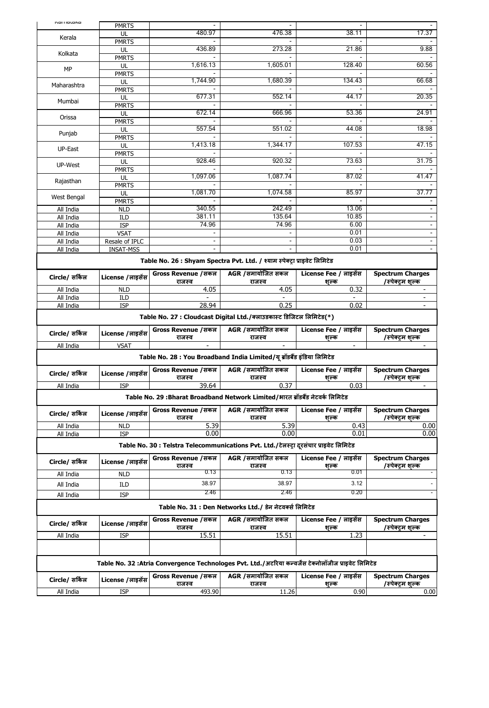| <b>INGHI IGLGING</b>                                                | <b>PMRTS</b>               |                               |                                                                                                      |                                |                                              |  |  |  |
|---------------------------------------------------------------------|----------------------------|-------------------------------|------------------------------------------------------------------------------------------------------|--------------------------------|----------------------------------------------|--|--|--|
| Kerala                                                              | UL                         | 480.97                        | 476.38                                                                                               | 38.11                          | 17.37                                        |  |  |  |
|                                                                     | <b>PMRTS</b>               |                               | 273.28                                                                                               |                                |                                              |  |  |  |
| Kolkata                                                             | UL<br><b>PMRTS</b>         | 436.89                        |                                                                                                      | 21.86                          | 9.88                                         |  |  |  |
|                                                                     | UL                         | 1,616.13                      | 1,605.01                                                                                             | 128.40                         | 60.56                                        |  |  |  |
| MP                                                                  | <b>PMRTS</b>               |                               |                                                                                                      |                                |                                              |  |  |  |
| Maharashtra                                                         | UL                         | 1.744.90                      | 1.680.39                                                                                             | 134.43                         | 66.68                                        |  |  |  |
|                                                                     | <b>PMRTS</b>               |                               |                                                                                                      |                                |                                              |  |  |  |
| Mumbai                                                              | UL                         | 677.31                        | 552.14                                                                                               | 44.17                          | 20.35                                        |  |  |  |
|                                                                     | <b>PMRTS</b><br>UL         | 672.14                        | 666.96                                                                                               | 53.36                          | 24.91                                        |  |  |  |
| Orissa                                                              | <b>PMRTS</b>               |                               |                                                                                                      |                                |                                              |  |  |  |
| Punjab                                                              | UL                         | 557.54                        | 551.02                                                                                               | 44.08                          | 18.98                                        |  |  |  |
|                                                                     | <b>PMRTS</b>               |                               |                                                                                                      |                                |                                              |  |  |  |
| UP-East                                                             | UL                         | 1.413.18                      | 1.344.17                                                                                             | 107.53                         | 47.15                                        |  |  |  |
|                                                                     | <b>PMRTS</b><br>UL         | 928.46                        | 920.32                                                                                               | 73.63                          | 31.75                                        |  |  |  |
| UP-West                                                             | <b>PMRTS</b>               |                               |                                                                                                      |                                |                                              |  |  |  |
| Rajasthan                                                           | UL                         | 1,097.06                      | 1,087.74                                                                                             | 87.02                          | 41.47                                        |  |  |  |
|                                                                     | <b>PMRTS</b>               |                               |                                                                                                      |                                |                                              |  |  |  |
| West Bengal                                                         | UL                         | 1,081.70                      | 1,074.58                                                                                             | 85.97                          | 37.77                                        |  |  |  |
| All India                                                           | <b>PMRTS</b><br><b>NLD</b> | 340.55                        | 242.49                                                                                               | 13.06                          |                                              |  |  |  |
| All India                                                           | ILD                        | 381.11                        | 135.64                                                                                               | 10.85                          |                                              |  |  |  |
| All India                                                           | <b>ISP</b>                 | 74.96                         | 74.96                                                                                                | 6.00                           | $\overline{\phantom{a}}$                     |  |  |  |
| All India                                                           | <b>VSAT</b>                |                               |                                                                                                      | 0.01                           |                                              |  |  |  |
| All India                                                           | Resale of IPLC             | $\equiv$                      | $\overline{\phantom{a}}$                                                                             | 0.03                           |                                              |  |  |  |
| All India                                                           | <b>INSAT-MSS</b>           |                               |                                                                                                      | 0.01                           |                                              |  |  |  |
|                                                                     |                            |                               | Table No. 26 : Shyam Spectra Pvt. Ltd. / श्याम स्पेक्ट़ा प्राइवेट लिमिटेड                            |                                |                                              |  |  |  |
|                                                                     |                            | Gross Revenue / सकल           | AGR /समायोजित सकल                                                                                    | License Fee / लाइसेंस          | <b>Spectrum Charges</b>                      |  |  |  |
| Circle/ सर्किल                                                      | License / लाइसेंस          | राजस्व                        | राजस्व                                                                                               | शल्क                           | /स्पेक्टम शल्क                               |  |  |  |
| All India                                                           | <b>NLD</b>                 | 4.05                          | 4.05                                                                                                 | 0.32                           |                                              |  |  |  |
| All India<br>All India                                              | ILD<br><b>ISP</b>          | 28.94                         | 0.25                                                                                                 | $\sim$<br>0.02                 |                                              |  |  |  |
|                                                                     |                            |                               |                                                                                                      |                                |                                              |  |  |  |
| Table No. 27 : Cloudcast Digital Ltd./क्लाउडकास्ट डिजिटल लिमिटेड(*) |                            |                               |                                                                                                      |                                |                                              |  |  |  |
|                                                                     |                            |                               |                                                                                                      |                                |                                              |  |  |  |
|                                                                     |                            | Gross Revenue / सकल           | AGR /समायोजित सकल                                                                                    | License Fee / लाइसेंस          | <b>Spectrum Charges</b>                      |  |  |  |
| Circle/ सर्किल                                                      | License / लाइसेंस          | राजस्व                        | राजस्व                                                                                               | शल्क                           | /स्पेक्टम शल्क                               |  |  |  |
| All India                                                           | <b>VSAT</b>                |                               |                                                                                                      |                                |                                              |  |  |  |
|                                                                     |                            |                               | Table No. 28 : You Broadband India Limited/यू ब्रॉडबैंड इंडिया लिमिटेड                               |                                |                                              |  |  |  |
|                                                                     |                            | Gross Revenue / सकल           | AGR / समायोजित सकल                                                                                   | License Fee / लाइसेंस          | <b>Spectrum Charges</b>                      |  |  |  |
| Circle/ सर्किल                                                      | License / लाइसेंस          | राजस्व                        | राजस्व                                                                                               | शल्क                           | /स्पेक्ट्म शुल्क                             |  |  |  |
| All India                                                           | <b>ISP</b>                 | 39.64                         | 0.37                                                                                                 | 0.03                           |                                              |  |  |  |
|                                                                     |                            |                               | Table No. 29 :Bharat Broadband Network Limited/भारत ब्रॉडबैंड नेटवर्क लिमिटेड                        |                                |                                              |  |  |  |
|                                                                     |                            | Gross Revenue /सकल            | AGR /समायोजित सकल                                                                                    | License Fee / लाइसेंस          | <b>Spectrum Charges</b>                      |  |  |  |
| Circle/ सर्किल                                                      | License / लाइसेंस          | राजस्व                        | राजस्व                                                                                               | शल्क                           | /स्पेक्ट्म शल्क                              |  |  |  |
| All India                                                           | <b>NLD</b>                 | 5.39                          | 5.39                                                                                                 | 0.43                           | 0.00                                         |  |  |  |
| All India                                                           | <b>ISP</b>                 | 0.00                          | 0.00                                                                                                 | 0.01                           | 0.00                                         |  |  |  |
|                                                                     |                            |                               | Table No. 30 : Telstra Telecommunications Pvt. Ltd./टेलस्टा दुरसंचार प्राइवेट लिमिटेड                |                                |                                              |  |  |  |
| Circle/ सर्किल                                                      | License / लाइसेंस          | Gross Revenue / सकल           | AGR /समायोजित सकल                                                                                    | License Fee / लाइसेंस          | <b>Spectrum Charges</b>                      |  |  |  |
|                                                                     |                            | राजस्व<br>0.13                | राजस्व<br>0.13                                                                                       | शुल्क<br>0.01                  | /स्पेक्ट्म शल्क                              |  |  |  |
| All India                                                           | <b>NLD</b>                 |                               |                                                                                                      |                                |                                              |  |  |  |
| All India                                                           | ILD                        | 38.97                         | 38.97                                                                                                | 3.12                           |                                              |  |  |  |
| All India                                                           | <b>ISP</b>                 | 2.46                          | 2.46                                                                                                 | 0.20                           |                                              |  |  |  |
|                                                                     |                            |                               | Table No. 31 : Den Networks Ltd./ डेन नेटवर्क्स लिमिटेड                                              |                                |                                              |  |  |  |
|                                                                     |                            | Gross Revenue / सकल           | AGR /समायोजित सकल                                                                                    | License Fee / लाइसेंस          | <b>Spectrum Charges</b>                      |  |  |  |
| Circle/ सर्किल                                                      | License / लाइसेंस          | राजस्व                        | राजस्व                                                                                               | शुल्क                          | /स्पेक्ट्रम शुल्क                            |  |  |  |
| All India                                                           | <b>ISP</b>                 | 15.51                         | 15.51                                                                                                | 1.23                           |                                              |  |  |  |
|                                                                     |                            |                               |                                                                                                      |                                |                                              |  |  |  |
|                                                                     |                            |                               |                                                                                                      |                                |                                              |  |  |  |
|                                                                     |                            |                               | Table No. 32 :Atria Convergence Technologes Pvt. Ltd./अटरिया कन्वर्जेंस टेक्नोलॉजीज प्राइवेट लिमिटेड |                                |                                              |  |  |  |
| Circle/ सर्किल                                                      | License / लाइसेंस          | Gross Revenue / सकल<br>राजस्व | AGR /समायोजित सकल<br>राजस्व                                                                          | License Fee / लाइसेंस<br>शुल्क | <b>Spectrum Charges</b><br>/स्पेक्ट्रम शुल्क |  |  |  |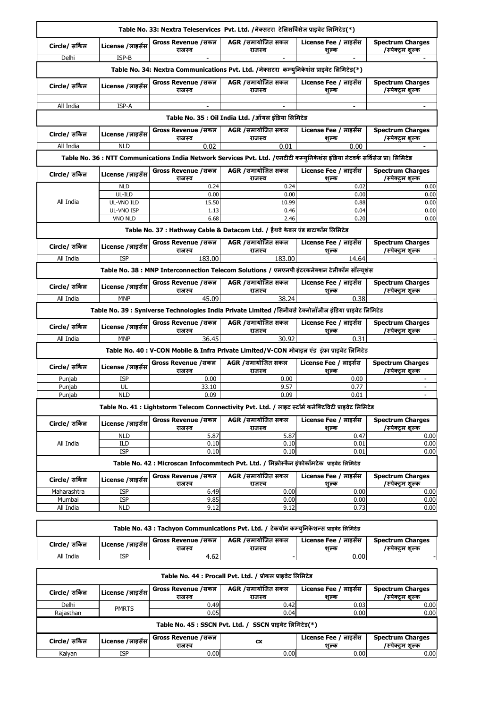|                                                                                               |                          |                                 | Table No. 33: Nextra Teleservices Pvt. Ltd. /नेक्सटरा टेलिसर्विसेज प्राइवेट लिमिटेड(*)                                        |                                |                                                                                             |  |  |
|-----------------------------------------------------------------------------------------------|--------------------------|---------------------------------|-------------------------------------------------------------------------------------------------------------------------------|--------------------------------|---------------------------------------------------------------------------------------------|--|--|
| Circle/ सर्किल                                                                                | License / लाइसेंस        | Gross Revenue /सकल<br>राजस्व    | AGR /समायोजित सकल<br>राजस्व                                                                                                   | License Fee / लाइसेंस<br>शुल्क | <b>Spectrum Charges</b><br>/स्पेक्ट्म शुल्क                                                 |  |  |
| Delhi                                                                                         | ISP-B                    |                                 |                                                                                                                               |                                |                                                                                             |  |  |
| Table No. 34: Nextra Communications Pvt. Ltd. /नेक्सटरा  कम्युनिकेशंस प्राइवेट लिमिटेड(*)     |                          |                                 |                                                                                                                               |                                |                                                                                             |  |  |
| Circle/ सर्किल                                                                                | License / लाइसेंस        | Gross Revenue / सकल<br>राजस्व   | AGR /समायोजित सकल<br>राजस्व                                                                                                   | License Fee / लाइसेंस<br>शल्क  | <b>Spectrum Charges</b><br>/स्पेक्टम शल्क                                                   |  |  |
| All India                                                                                     | ISP-A                    |                                 |                                                                                                                               |                                |                                                                                             |  |  |
|                                                                                               |                          |                                 | Table No. 35 : Oil India Ltd. / ऑयल इंडिया लिमिटेड                                                                            |                                |                                                                                             |  |  |
| Circle/ सर्किल                                                                                | License / लाइसेंस        | Gross Revenue /सकल<br>राजस्व    | AGR /समायोजित सकल<br>राजस्व                                                                                                   | License Fee / लाइसेंस<br>शल्क  | <b>Spectrum Charges</b><br>/स्पेक्टम शल्क                                                   |  |  |
| All India                                                                                     | <b>NLD</b>               | 0.02                            | 0.01                                                                                                                          | 0.00                           |                                                                                             |  |  |
|                                                                                               |                          |                                 | Table No. 36 : NTT Communications India Network Services Pvt. Ltd. /एनटीटी कम्युनिकेशंस इंडिया नेटवर्क सर्विसेज प्रा। लिमिटेड |                                |                                                                                             |  |  |
| Circle/ सर्किल                                                                                | License / लाइसेंस        | Gross Revenue / सकल<br>राजस्व   | AGR / समायोजित सकल<br>राजस्व                                                                                                  | License Fee / लाइसेंस<br>शल्क  | <b>Spectrum Charges</b><br>/स्पेक्टम शल्क                                                   |  |  |
|                                                                                               | <b>NLD</b>               | 0.24                            | 0.24                                                                                                                          | 0.02                           | 0.00                                                                                        |  |  |
|                                                                                               | UL-ILD                   | 0.00                            | 0.00                                                                                                                          | 0.00                           | 0.00                                                                                        |  |  |
| All India                                                                                     | UL-VNO ILD<br>UL-VNO ISP | 15.50<br>1.13                   | 10.99<br>0.46                                                                                                                 | 0.88<br>0.04                   | 0.00<br>0.00                                                                                |  |  |
|                                                                                               | <b>VNO NLD</b>           | 6.68                            | 2.46                                                                                                                          | 0.20                           | 0.00                                                                                        |  |  |
|                                                                                               |                          |                                 | Table No. 37 : Hathway Cable & Datacom Ltd. / हैथवे केबल एंड डाटाकॉम लिमिटेड                                                  |                                |                                                                                             |  |  |
| Circle/ सर्किल                                                                                | License / लाइसेंस        | Gross Revenue /सकल<br>राजस्व    | AGR /समायोजित सकल<br>राजस्व                                                                                                   | License Fee / लाइसेंस<br>शल्क  | <b>Spectrum Charges</b><br>/स्पेक्ट्म शल्क                                                  |  |  |
| All India                                                                                     | <b>ISP</b>               | 183.00                          | 183.00                                                                                                                        | 14.64                          |                                                                                             |  |  |
|                                                                                               |                          |                                 | Table No. 38 : MNP Interconnection Telecom Solutions / एमएनपी इंटरकनेक्शन टेलीकॉम सॉल्य्शंस                                   |                                |                                                                                             |  |  |
| Circle/ सर्किल                                                                                | License / लाइसेंस        | Gross Revenue / सकल<br>राजस्व   | AGR /समायोजित सकल<br>राजस्व                                                                                                   | License Fee / लाइसेंस<br>शल्क  | <b>Spectrum Charges</b><br>/स्पेक्ट्म शुल्क                                                 |  |  |
| All India                                                                                     | <b>MNP</b>               | 45.09                           | 38.24                                                                                                                         | 0.38                           |                                                                                             |  |  |
|                                                                                               |                          |                                 | Table No. 39 : Syniverse Technologies India Private Limited /सिनीवर्स टेक्नोलॉजीज इंडिया प्राइवेट लिमिटेड                     |                                |                                                                                             |  |  |
| Circle/ सर्किल                                                                                | License /लाइसेस          | Gross Revenue / सकल  <br>राजस्व | AGR /समायोजित सकल<br>राजस्व                                                                                                   | License Fee / लाइसेंस<br>शल्क  | <b>Spectrum Charges</b>                                                                     |  |  |
| All India                                                                                     |                          |                                 |                                                                                                                               |                                | /स्पेक्ट्म शल्क                                                                             |  |  |
| Table No. 40 : V-CON Mobile & Infra Private Limited/V-CON मोबाइल एंड  इंफ्रा प्राइवेट लिमिटेड |                          |                                 |                                                                                                                               |                                |                                                                                             |  |  |
|                                                                                               | <b>MNP</b>               | 36.45                           | 30.92                                                                                                                         | 0.31                           |                                                                                             |  |  |
| Circle/ सर्किल                                                                                | License / लाइसेंस        | Gross Revenue /सकल<br>राजस्व    | AGR /समायोजित सकल<br>राजस्व                                                                                                   | License Fee / लाइसेंस<br>शल्क  | <b>Spectrum Charges</b><br>/स्पेक्टम शल्क                                                   |  |  |
| Punjab                                                                                        | <b>ISP</b>               | 0.00                            | 0.00                                                                                                                          | 0.00                           |                                                                                             |  |  |
| Punjab                                                                                        | UL                       | 33.10                           | 9.57                                                                                                                          | 0.77                           | $\sim$                                                                                      |  |  |
| Punjab                                                                                        | <b>NLD</b>               | 0.09                            | 0.09<br>Table No. 41 : Lightstorm Telecom Connectivity Pvt. Ltd. / लाइट स्टॉर्म कनेक्टिविटी प्राइवेट लिमिटेड                  | 0.01                           |                                                                                             |  |  |
| Circle/ सर्किल                                                                                | License / लाइसेंस        | Gross Revenue / सकल             | AGR /समायोजित सकल                                                                                                             | License Fee / लाइसेंस          | <b>Spectrum Charges</b>                                                                     |  |  |
|                                                                                               | <b>NLD</b>               | राजस्व<br>5.87                  | राजस्व<br>5.87                                                                                                                | शल्क<br>0.47                   | /स्पेक्ट्म शल्क                                                                             |  |  |
| All India                                                                                     | ILD                      | 0.10                            | 0.10                                                                                                                          | 0.01                           |                                                                                             |  |  |
|                                                                                               | <b>ISP</b>               | 0.10                            | 0.10                                                                                                                          | 0.01                           |                                                                                             |  |  |
|                                                                                               |                          |                                 | Table No. 42 : Microscan Infocommtech Pvt. Ltd. / मिक्रोस्कैन इंफोकॉमटेक  प्राइवेट लिमिटेड                                    |                                |                                                                                             |  |  |
| Circle/ सर्किल                                                                                | License / लाइसेंस        | Gross Revenue /सकल<br>राजस्व    | AGR /समायोजित सकल<br>राजस्व                                                                                                   | License Fee / लाइसेस<br>शल्क   | <b>Spectrum Charges</b><br>/स्पेक्ट्म शल्क                                                  |  |  |
| Maharashtra                                                                                   | <b>ISP</b>               | 6.49                            | 0.00                                                                                                                          | 0.00                           |                                                                                             |  |  |
| Mumbai                                                                                        | <b>ISP</b>               | 9.85                            | 0.00                                                                                                                          | 0.00                           |                                                                                             |  |  |
| All India                                                                                     | <b>NLD</b>               | 9.12                            | 9.12                                                                                                                          | 0.73                           |                                                                                             |  |  |
|                                                                                               |                          |                                 | Table No. 43 : Tachyon Communications Pvt. Ltd. / टेकयोन कम्युनिकेशन्स प्राइवेट लिमिटेड                                       |                                |                                                                                             |  |  |
| Circle/ सर्किल                                                                                | License / लाइसेंस        | Gross Revenue / सकल<br>राजस्व   | AGR /समायोजित सकल<br>राजस्व                                                                                                   | License Fee / लाइसेंस<br>शल्क  | 0.00<br>0.00<br>0.00<br>0.00<br>0.00<br>0.00<br><b>Spectrum Charges</b><br>/स्पेक्ट्म शुल्क |  |  |
| All India                                                                                     | <b>ISP</b>               | 4.62                            |                                                                                                                               | 0.00                           |                                                                                             |  |  |
|                                                                                               |                          |                                 | Table No. 44 : Procall Pvt. Ltd. / प्रोकल प्राइवेट लिमिटेड                                                                    |                                |                                                                                             |  |  |

| <b>TUDIC INSTRUCTED FOR THE EVALUATIONS INTO A LONGE</b> |                   |                               |                                                          |                               |                                           |  |
|----------------------------------------------------------|-------------------|-------------------------------|----------------------------------------------------------|-------------------------------|-------------------------------------------|--|
| Circle/ सर्किल                                           | License / लाइसेंस | Gross Revenue / सकल<br>राजस्व | AGR /समायोजित सकल<br>राजस्व                              | License Fee / लाइसेंस<br>शल्क | <b>Spectrum Charges</b><br>/स्पेक्टम शल्क |  |
| Delhi                                                    | <b>PMRTS</b>      | 0.49                          | 0.42                                                     | 0.03                          | 0.00                                      |  |
| Rajasthan                                                |                   | 0.05                          | 0.04                                                     | 0.00                          | 0.00                                      |  |
|                                                          |                   |                               | Table No. 45 : SSCN Pvt. Ltd. / SSCN प्राइवेट लिमिटेड(*) |                               |                                           |  |
| Circle/ सर्किल                                           | License / लाइसेंस | Gross Revenue /सकल<br>राजस्व  | <b>CX</b>                                                | License Fee / लाइसेंस<br>शल्क | <b>Spectrum Charges</b><br>/स्पेक्टम शल्क |  |
| Kalvan                                                   | ISP               | 0.00                          | 0.00                                                     | 0.00                          | 0.00                                      |  |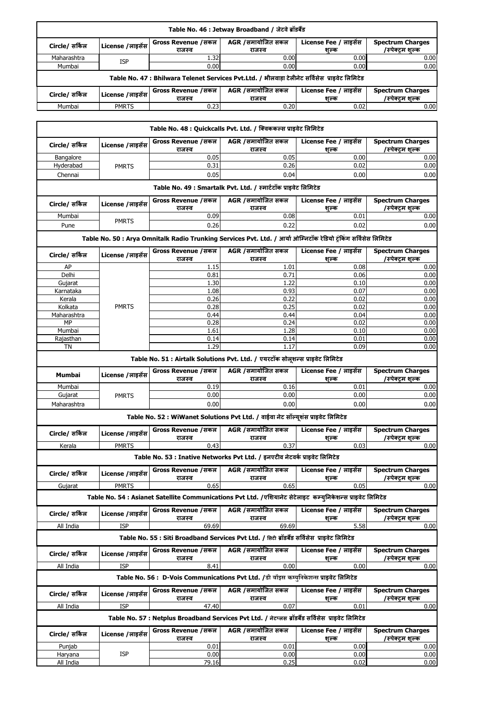|                | Table No. 46 : Jetway Broadband / जेटवे ब्रॉडबैंड |                              |                                                                                                |                               |                                            |  |  |
|----------------|---------------------------------------------------|------------------------------|------------------------------------------------------------------------------------------------|-------------------------------|--------------------------------------------|--|--|
| Circle/ सर्किल | License / लाइसेंस                                 | Gross Revenue /सकल<br>राजस्व | AGR /समायोजित सकल<br>राजस्व                                                                    | License Fee / लाइसेंस<br>शल्क | <b>Spectrum Charges</b><br>'स्पेक्टम शल्क  |  |  |
| Maharashtra    | <b>ISP</b>                                        | 1.32                         | 0.00                                                                                           | 0.00                          | 0.00                                       |  |  |
| Mumbai         |                                                   | 0.00                         | 0.00                                                                                           | 0.00                          | 0.00                                       |  |  |
|                |                                                   |                              | Table No. 47 : Bhilwara Telenet Services Pvt.Ltd. / भीलवाड़ा टेलीनेट सर्विसेस प्राइवेट लिमिटेड |                               |                                            |  |  |
| Circle/ सर्किल | License / लाइसेंस                                 | Gross Revenue /सकल<br>राजस्व | AGR /समायोजित सकल<br>राजस्व                                                                    | License Fee / लाइसेंस<br>शल्क | <b>Spectrum Charges</b><br>/स्पेक्ट्म शल्क |  |  |
| Mumbai         | <b>PMRTS</b>                                      | 0.23                         | 0.20                                                                                           | 0.02                          | 0.00                                       |  |  |

|                   |                                                                                                                 |                               | Table No. 48 : Quickcalls Pvt. Ltd. / क्विककल्स प्राइवेट लिमिटेड                                           |                                |                                              |  |  |  |
|-------------------|-----------------------------------------------------------------------------------------------------------------|-------------------------------|------------------------------------------------------------------------------------------------------------|--------------------------------|----------------------------------------------|--|--|--|
| Circle/ सर्किल    | License / लाइसेंस                                                                                               | Gross Revenue /सकल<br>राजस्व  | AGR /समायोजित सकल<br>राजस्व                                                                                | License Fee / लाइसेंस<br>शुल्क | <b>Spectrum Charges</b><br>/स्पेक्ट्म शुल्क  |  |  |  |
| Bangalore         |                                                                                                                 | 0.05                          | 0.05                                                                                                       | 0.00                           | 0.00                                         |  |  |  |
| Hyderabad         | <b>PMRTS</b>                                                                                                    | 0.31                          | 0.26                                                                                                       | 0.02                           | 0.00                                         |  |  |  |
| Chennai           |                                                                                                                 | 0.05                          | 0.04                                                                                                       | 0.00                           | 0.00                                         |  |  |  |
|                   |                                                                                                                 |                               | Table No. 49 : Smartalk Pvt. Ltd. / स्मार्टटॉक प्राइवेट लिमिटेड                                            |                                |                                              |  |  |  |
| Circle/ सर्किल    | License / लाइसेंस                                                                                               | Gross Revenue /सकल<br>राजस्व  | AGR /समायोजित सकल<br>राजस्व                                                                                | License Fee / लाइसेंस<br>शल्क  | <b>Spectrum Charges</b><br>/स्पेक्ट्म शल्क   |  |  |  |
| Mumbai            |                                                                                                                 | 0.09                          | 0.08                                                                                                       | 0.01                           | 0.00                                         |  |  |  |
| Pune              | <b>PMRTS</b>                                                                                                    | 0.26                          | 0.22                                                                                                       | 0.02                           | 0.00                                         |  |  |  |
|                   | Table No. 50 : Arya Omnitalk Radio Trunking Services Pvt. Ltd. / आर्या ओम्निटॉक रेडियो टुंकिंग सर्विसेस लिमिटेड |                               |                                                                                                            |                                |                                              |  |  |  |
| Circle/ सर्किल    | License /लाइसेस                                                                                                 | Gross Revenue / सकल<br>राजस्व | AGR /समायोजित सकल<br>राजस्व                                                                                | License Fee / लाइसेंस<br>शुल्क | <b>Spectrum Charges</b><br>/स्पेक्ट्म शुल्क  |  |  |  |
| AP                |                                                                                                                 | 1.15                          | 1.01                                                                                                       | 0.08                           | 0.00                                         |  |  |  |
| Delhi             |                                                                                                                 | 0.81                          | 0.71                                                                                                       | 0.06                           | 0.00                                         |  |  |  |
| Gujarat           |                                                                                                                 | 1.30                          | 1.22                                                                                                       | 0.10                           | 0.00                                         |  |  |  |
| Karnataka         |                                                                                                                 | 1.08                          | 0.93                                                                                                       | 0.07                           | 0.00                                         |  |  |  |
| Kerala<br>Kolkata | <b>PMRTS</b>                                                                                                    | 0.26<br>0.28                  | 0.22<br>0.25                                                                                               | 0.02<br>0.02                   | 0.00<br>0.00                                 |  |  |  |
| Maharashtra       |                                                                                                                 | 0.44                          | 0.44                                                                                                       | 0.04                           | 0.00                                         |  |  |  |
| MP                |                                                                                                                 | 0.28                          | 0.24                                                                                                       | 0.02                           | 0.00                                         |  |  |  |
| Mumbai            |                                                                                                                 | 1.61                          | 1.28                                                                                                       | 0.10                           | 0.00                                         |  |  |  |
| Rajasthan         |                                                                                                                 | 0.14                          | 0.14                                                                                                       | 0.01                           | 0.00                                         |  |  |  |
| TN                |                                                                                                                 | 1.29                          | 1.17                                                                                                       | 0.09                           | 0.00                                         |  |  |  |
|                   |                                                                                                                 |                               | Table No. 51 : Airtalk Solutions Pvt. Ltd. / एयरटॉक सोलूशन्स प्राइवेट लिमिटेड                              |                                |                                              |  |  |  |
|                   |                                                                                                                 |                               |                                                                                                            |                                |                                              |  |  |  |
| Mumbai            | License / लाइसेंस                                                                                               | Gross Revenue / सकल<br>राजस्व | AGR /समायोजित सकल<br>राजस्व                                                                                | License Fee / लाइसेंस<br>शल्क  | <b>Spectrum Charges</b><br>/स्पेक्ट्रम शुल्क |  |  |  |
| Mumbai            |                                                                                                                 | 0.19                          | 0.16                                                                                                       | 0.01                           | 0.00                                         |  |  |  |
| Gujarat           | <b>PMRTS</b>                                                                                                    | 0.00                          | 0.00                                                                                                       | 0.00                           | 0.00                                         |  |  |  |
| Maharashtra       |                                                                                                                 | 0.00                          | 0.00                                                                                                       | 0.00                           | 0.00                                         |  |  |  |
|                   |                                                                                                                 |                               | Table No. 52 : WiWanet Solutions Pvt Ltd. / वाईवा नेट सॉल्यूशंस प्राइवेट लिमिटेड                           |                                |                                              |  |  |  |
| Circle/ सर्किल    | License /लाइसेस                                                                                                 | Gross Revenue /सकल<br>राजस्व  | AGR /समायोजित सकल<br>राजस्व                                                                                | License Fee / लाइसेंस<br>शल्क  | <b>Spectrum Charges</b><br>/स्पेक्ट्म शुल्क  |  |  |  |
| Kerala            | <b>PMRTS</b>                                                                                                    | 0.43                          | 0.37                                                                                                       | 0.03                           | 0.00                                         |  |  |  |
|                   |                                                                                                                 |                               | Table No. 53 : Inative Networks Pvt Ltd. / इनएटीव नेटवर्क प्राइवेट लिमिटेड                                 |                                |                                              |  |  |  |
| Circle/ सर्किल    | License / लाइसेस                                                                                                | Gross Revenue /सकल<br>राजस्व  | AGR /समायोजित सकल<br>राजस्व                                                                                | License Fee / लाइसेस<br>शल्क   | <b>Spectrum Charges</b><br>/स्पेक्टम शल्क    |  |  |  |
| Gujarat           | <b>PMRTS</b>                                                                                                    | 0.65                          | 0.65                                                                                                       | 0.05                           | 0.00                                         |  |  |  |
|                   |                                                                                                                 |                               | Table No. 54 : Asianet Satellite Communications Pvt Ltd. /एशियानेट सेटेलाइट कम्युनिकेशन्स प्राइवेट लिमिटेड |                                |                                              |  |  |  |
| Circle/ सर्किल    | License / लाइसेंस                                                                                               | Gross Revenue /सकल<br>राजस्व  | AGR /समायोजित सकल<br>राजस्व                                                                                | License Fee / लाइसेंस<br>शल्क  | <b>Spectrum Charges</b><br>/स्पेक्ट्म शल्क   |  |  |  |
| All India         | <b>ISP</b>                                                                                                      | 69.69                         | 69.69                                                                                                      | 5.58                           | 0.00                                         |  |  |  |
|                   |                                                                                                                 |                               | Table No. 55 : Siti Broadband Services Pvt Ltd. / सिटी ब्रॉडबैंड सर्विसेस प्राइवेट लिमिटेड                 |                                |                                              |  |  |  |
| Circle/ सर्किल    | License / लाइसेंस                                                                                               | Gross Revenue /सकल<br>राजस्व  | AGR /समायोजित सकल<br>राजस्व                                                                                | License Fee / लाइसेंस<br>शल्क  | <b>Spectrum Charges</b><br>/स्पेक्टम शल्क    |  |  |  |
| All India         | <b>ISP</b>                                                                                                      | 8.41                          | 0.00                                                                                                       | 0.00                           | 0.00                                         |  |  |  |
|                   |                                                                                                                 |                               | Table No. 56 : D-Vois Communications Pvt Ltd. /डी वॉइस कम्युनिकेशन्स प्राइवेट लिमिटेड                      |                                |                                              |  |  |  |
| Circle/ सर्किल    | License / लाइसेंस                                                                                               | Gross Revenue / सकल<br>राजस्व | AGR /समायोजित सकल<br>राजस्व                                                                                | License Fee / लाइसेंस<br>शुल्क | <b>Spectrum Charges</b><br>/स्पेक्ट्म शुल्क  |  |  |  |
| All India         | <b>ISP</b>                                                                                                      | 47.40                         | 0.07                                                                                                       | 0.01                           | 0.00                                         |  |  |  |
|                   |                                                                                                                 |                               | Table No. 57 : Netplus Broadband Services Pvt Ltd. / नेटप्लस ब्रॉडबैंड सर्विसेस  प्राइवेट लिमिटेड          |                                |                                              |  |  |  |
| Circle/ सर्किल    | License / लाइसेंस                                                                                               | Gross Revenue / सकल<br>राजस्व | AGR /समायोजित सकल<br>राजस्व                                                                                | License Fee / लाइसेंस<br>शल्क  | <b>Spectrum Charges</b><br>/स्पेक्ट्म शल्क   |  |  |  |
| Punjab            |                                                                                                                 | 0.01                          | 0.01                                                                                                       | 0.00                           | 0.00                                         |  |  |  |
| Haryana           |                                                                                                                 |                               |                                                                                                            |                                |                                              |  |  |  |
| All India         | <b>ISP</b>                                                                                                      | 0.00<br>79.16                 | 0.00<br>0.25                                                                                               | 0.00<br>0.02                   | 0.00<br>0.00                                 |  |  |  |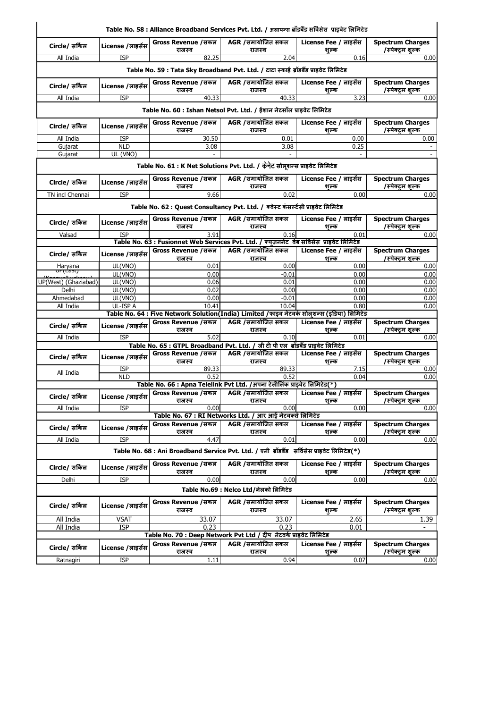|                                 |                                                                      |                                 | Table No. 58 : Alliance Broadband Services Pvt. Ltd. / अलायन्स ब्रॉडबैंड सर्विसेस प्राइवेट लिमिटेड                |                                |                                             |  |  |  |  |
|---------------------------------|----------------------------------------------------------------------|---------------------------------|-------------------------------------------------------------------------------------------------------------------|--------------------------------|---------------------------------------------|--|--|--|--|
| Circle/ सर्किल                  | License / लाइसेंस                                                    | Gross Revenue /सकल<br>राजस्व    | AGR /समायोजित सकल<br>राजस्व                                                                                       | License Fee / लाइसेंस<br>शल्क  | <b>Spectrum Charges</b><br>/स्पेक्टम शल्क   |  |  |  |  |
| All India                       | <b>ISP</b>                                                           | 82.25                           | 2.04                                                                                                              | 0.16                           | 0.00                                        |  |  |  |  |
|                                 |                                                                      |                                 | Table No. 59 : Tata Sky Broadband Pvt. Ltd. / टाटा स्काई ब्रॉडबैंड प्राइवेट लिमिटेड                               |                                |                                             |  |  |  |  |
| Circle/ सर्किल                  | License / लाइसेंस                                                    | Gross Revenue / सकल<br>राजस्व   | AGR /समायोजित सकल<br>राजस्व                                                                                       | License Fee / लाइसेंस<br>शल्क  | <b>Spectrum Charges</b><br>/स्पेक्ट्म शल्क  |  |  |  |  |
| All India                       | <b>ISP</b>                                                           | 40.33                           | 40.33                                                                                                             | 3.23                           | 0.00                                        |  |  |  |  |
|                                 | Table No. 60 : Ishan Netsol Pvt. Ltd. / ईशान नेटसॉल प्राइवेट लिमिटेड |                                 |                                                                                                                   |                                |                                             |  |  |  |  |
| Circle/ सर्किल                  | License / लाइसेंस                                                    | Gross Revenue /सकल<br>राजस्व    | AGR /समायोजित सकल<br>राजस्व                                                                                       | License Fee / लाइसेंस<br>शल्क  | <b>Spectrum Charges</b><br>/स्पेक्ट्म शल्क  |  |  |  |  |
| All India                       | <b>ISP</b>                                                           | 30.50                           | 0.01                                                                                                              | 0.00                           | 0.00                                        |  |  |  |  |
| Gujarat                         | <b>NLD</b>                                                           | 3.08                            | 3.08                                                                                                              | 0.25                           |                                             |  |  |  |  |
| Gujarat                         | UL (VNO)                                                             |                                 |                                                                                                                   |                                | $\overline{a}$                              |  |  |  |  |
|                                 |                                                                      |                                 | Table No. 61 : K Net Solutions Pvt. Ltd. / केनेट सोल्शन्स प्राइवेट लिमिटेड                                        |                                |                                             |  |  |  |  |
| Circle/ सर्किल                  | License / लाइसेंस                                                    | Gross Revenue / सकल  <br>राजस्व | AGR /समायोजित सकल<br>राजस्व                                                                                       | License Fee / लाइसेंस<br>शल्क  | <b>Spectrum Charges</b><br>/स्पेक्ट्म शल्क  |  |  |  |  |
| TN incl Chennai                 | <b>ISP</b>                                                           | 9.66                            | 0.02                                                                                                              | 0.00                           | 0.00                                        |  |  |  |  |
|                                 |                                                                      |                                 | Table No. 62 : Quest Consultancy Pvt. Ltd. / क्वेस्ट कंसल्टेंसी प्राइवेट लिमिटेड                                  |                                |                                             |  |  |  |  |
| Circle/ सर्किल                  | License / लाइसेंस                                                    | Gross Revenue /सकल<br>राजस्व    | AGR /समायोजित सकल<br>राजस्व                                                                                       | License Fee / लाइसेंस<br>शल्क  | <b>Spectrum Charges</b><br>/स्पेक्टम शल्क   |  |  |  |  |
| Valsad                          | <b>ISP</b>                                                           | 3.91                            | 0.16                                                                                                              | 0.01                           | 0.00                                        |  |  |  |  |
| Circle/ सर्किल                  | License / लाइसेंस                                                    | Gross Revenue / सकल             | Table No. 63 : Fusionnet Web Services Pvt. Ltd. / फ्यूज़ननेट  वेब सर्विसेस  प्राइवेट लिमिटेड<br>AGR /समायोजित सकल | License Fee / लाइसेंस          | <b>Spectrum Charges</b>                     |  |  |  |  |
|                                 | UL(VNO)                                                              | राजस्व<br>0.01                  | राजस्व<br>0.00                                                                                                    | शल्क<br>0.00                   | /स्पेक्टम शल्क<br>0.00                      |  |  |  |  |
| Haryana<br><del>Ur (Last)</del> | UL(VNO)                                                              | 0.00                            | $-0.01$                                                                                                           | 0.00                           | 0.00                                        |  |  |  |  |
| UP(West) (Ghaziabad)            | UL(VNO)                                                              | 0.06                            | 0.01                                                                                                              | 0.00                           | 0.00                                        |  |  |  |  |
| Delhi                           | UL(VNO)                                                              | 0.02                            | 0.00                                                                                                              | 0.00                           | 0.00                                        |  |  |  |  |
| Ahmedabad                       | UL(VNO)                                                              | 0.00                            | $-0.01$                                                                                                           | 0.00                           | 0.00                                        |  |  |  |  |
| All India                       | UL-ISP A                                                             | 10.41                           | 10.04                                                                                                             | 0.80                           | 0.00                                        |  |  |  |  |
|                                 |                                                                      | Gross Revenue / सकल             | Table No. 64 : Five Network Solution(India) Limited /फाइव नेटवर्क सोल्शन्स (इंडिया) लिमिटेड<br>AGR /समायोजित सकल  | License Fee / लाइसेंस          | <b>Spectrum Charges</b>                     |  |  |  |  |
| Circle/ सर्किल                  | License / लाइसेंस                                                    | राजस्व                          | राजस्व                                                                                                            | शल्क                           | /स्पेक्टम शल्क                              |  |  |  |  |
| All India                       | <b>ISP</b>                                                           | 5.02                            | 0.10<br>Table No. 65 : GTPL Broadband Pvt. Ltd. / जी टी पी एल ब्रॉडबैंड प्राइवेट लिमिटेड                          | 0.01                           | 0.00                                        |  |  |  |  |
| Circle/ सर्किल                  | License / लाइसेंस                                                    | Gross Revenue /सकल<br>राजस्व    | AGR /समायोजित सकल<br>राजस्व                                                                                       | License Fee / लाइसेंस<br>शल्क  | <b>Spectrum Charges</b><br>/स्पेक्टम शल्क   |  |  |  |  |
| All India                       | <b>ISP</b>                                                           | 89.33                           | 89.33                                                                                                             | 7.15                           | 0.00                                        |  |  |  |  |
|                                 | <b>NLD</b>                                                           | 0.52                            | 0.52                                                                                                              | 0.04                           | 0.00                                        |  |  |  |  |
|                                 |                                                                      | Gross Revenue / सकल             | Table No. 66 : Apna Telelink Pvt Ltd. /अपना टेलीलिंक प्राइवेट लिमिटेड(*)<br>AGR /समायोजित सकल                     | License Fee / लाइसेंस          | <b>Spectrum Charges</b>                     |  |  |  |  |
| Circle/ सर्किल<br>All India     | License / लाइसेंस<br><b>ISP</b>                                      | राजस्व<br>0.00                  | राजस्व<br>0.00                                                                                                    | शल्क<br>0.00                   | /स्पेक्ट्म शल्क<br>0.00                     |  |  |  |  |
|                                 |                                                                      |                                 | Table No. 67 : RI Networks Ltd. / आर आई नेटवर्क्स लिमिटेड                                                         |                                |                                             |  |  |  |  |
|                                 |                                                                      | Gross Revenue /सकल              | AGR /समायोजित सकल                                                                                                 | License Fee / लाइसेंस          | <b>Spectrum Charges</b>                     |  |  |  |  |
| Circle/ सर्किल                  | License / लाइसेंस                                                    | राजस्व                          | राजस्व                                                                                                            | शल्क                           | /स्पेक्ट्म शल्क                             |  |  |  |  |
| All India                       | <b>ISP</b>                                                           | 4.47                            | 0.01                                                                                                              | 0.00                           | 0.00                                        |  |  |  |  |
|                                 |                                                                      |                                 | Table No. 68 : Ani Broadband Service Pvt. Ltd. / एनी ब्रॉडबैंड सर्विसेस प्राइवेट लिमिटेड(*)                       |                                |                                             |  |  |  |  |
| Circle/ सर्किल                  | License / लाइसेंस                                                    | Gross Revenue / सकल<br>राजस्व   | AGR /समायोजित सकल<br>राजस्व                                                                                       | License Fee / लाइसेंस<br>शल्क  | <b>Spectrum Charges</b><br>/स्पेक्टम शल्क   |  |  |  |  |
| Delhi                           | <b>ISP</b>                                                           | 0.00                            | 0.00                                                                                                              | 0.00                           | 0.00                                        |  |  |  |  |
|                                 |                                                                      |                                 | Table No.69 : Nelco Ltd/नेलको लिमिटेड                                                                             |                                |                                             |  |  |  |  |
| Circle/ सर्किल                  | License / लाइसेंस                                                    | Gross Revenue / सकल<br>राजस्व   | AGR /समायोजित सकल<br>राजस्व                                                                                       | License Fee / लाइसेंस<br>शुल्क | <b>Spectrum Charges</b><br>/स्पेक्ट्म शुल्क |  |  |  |  |
| All India                       | <b>VSAT</b>                                                          | 33.07                           | 33.07                                                                                                             | 2.65                           | 1.39                                        |  |  |  |  |
| All India                       | <b>ISP</b>                                                           | 0.23                            | 0.23                                                                                                              | 0.01                           |                                             |  |  |  |  |
|                                 |                                                                      |                                 | Table No. 70 : Deep Network Pvt Ltd / दीप  नेटवर्क प्राइवेट लिमिटेड                                               |                                |                                             |  |  |  |  |
| Circle/ सर्किल                  | License / लाइसेंस                                                    | Gross Revenue / सकल<br>राजस्व   | AGR /समायोजित सकल<br>राजस्व                                                                                       | License Fee / लाइसेंस<br>शुल्क | <b>Spectrum Charges</b><br>/स्पेक्ट्म शुल्क |  |  |  |  |
| Ratnagiri                       | <b>ISP</b>                                                           | 1.11                            | 0.94                                                                                                              | 0.07                           | 0.00                                        |  |  |  |  |